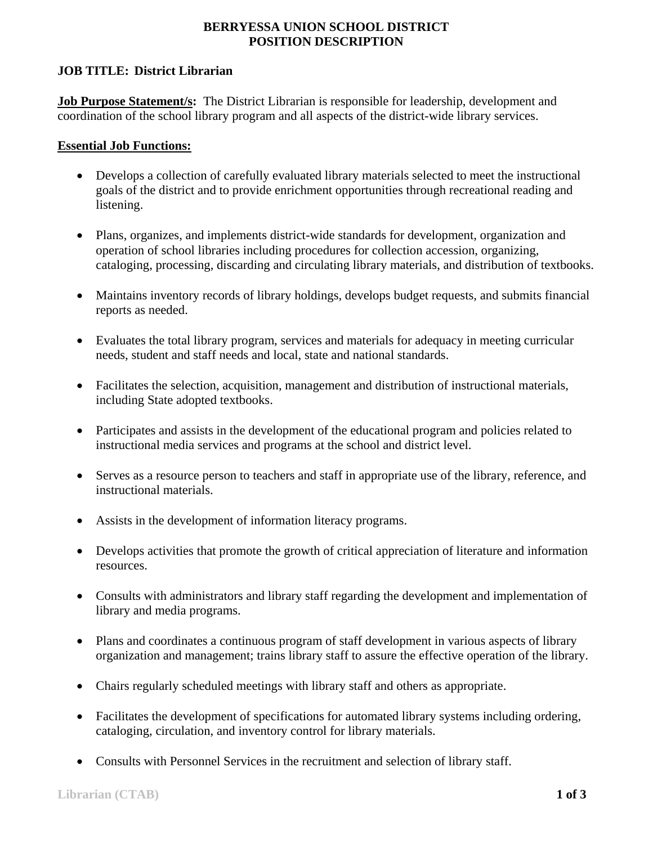## **BERRYESSA UNION SCHOOL DISTRICT POSITION DESCRIPTION**

## **JOB TITLE: District Librarian**

**Job Purpose Statement/s:** The District Librarian is responsible for leadership, development and coordination of the school library program and all aspects of the district-wide library services.

#### **Essential Job Functions:**

- Develops a collection of carefully evaluated library materials selected to meet the instructional goals of the district and to provide enrichment opportunities through recreational reading and listening.
- Plans, organizes, and implements district-wide standards for development, organization and operation of school libraries including procedures for collection accession, organizing, cataloging, processing, discarding and circulating library materials, and distribution of textbooks.
- Maintains inventory records of library holdings, develops budget requests, and submits financial reports as needed.
- Evaluates the total library program, services and materials for adequacy in meeting curricular needs, student and staff needs and local, state and national standards.
- Facilitates the selection, acquisition, management and distribution of instructional materials, including State adopted textbooks.
- Participates and assists in the development of the educational program and policies related to instructional media services and programs at the school and district level.
- Serves as a resource person to teachers and staff in appropriate use of the library, reference, and instructional materials.
- Assists in the development of information literacy programs.
- Develops activities that promote the growth of critical appreciation of literature and information resources.
- Consults with administrators and library staff regarding the development and implementation of library and media programs.
- Plans and coordinates a continuous program of staff development in various aspects of library organization and management; trains library staff to assure the effective operation of the library.
- Chairs regularly scheduled meetings with library staff and others as appropriate.
- Facilitates the development of specifications for automated library systems including ordering, cataloging, circulation, and inventory control for library materials.
- Consults with Personnel Services in the recruitment and selection of library staff.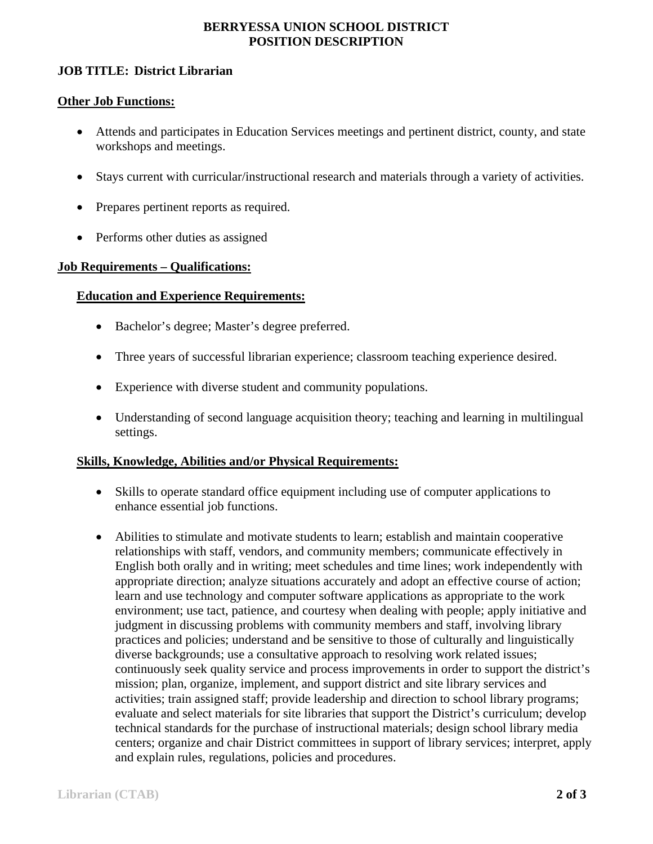## **BERRYESSA UNION SCHOOL DISTRICT POSITION DESCRIPTION**

## **JOB TITLE: District Librarian**

#### **Other Job Functions:**

- Attends and participates in Education Services meetings and pertinent district, county, and state workshops and meetings.
- Stays current with curricular/instructional research and materials through a variety of activities.
- Prepares pertinent reports as required.
- Performs other duties as assigned

#### **Job Requirements – Qualifications:**

#### **Education and Experience Requirements:**

- Bachelor's degree; Master's degree preferred.
- Three years of successful librarian experience; classroom teaching experience desired.
- Experience with diverse student and community populations.
- Understanding of second language acquisition theory; teaching and learning in multilingual settings.

#### **Skills, Knowledge, Abilities and/or Physical Requirements:**

- Skills to operate standard office equipment including use of computer applications to enhance essential job functions.
- Abilities to stimulate and motivate students to learn; establish and maintain cooperative relationships with staff, vendors, and community members; communicate effectively in English both orally and in writing; meet schedules and time lines; work independently with appropriate direction; analyze situations accurately and adopt an effective course of action; learn and use technology and computer software applications as appropriate to the work environment; use tact, patience, and courtesy when dealing with people; apply initiative and judgment in discussing problems with community members and staff, involving library practices and policies; understand and be sensitive to those of culturally and linguistically diverse backgrounds; use a consultative approach to resolving work related issues; continuously seek quality service and process improvements in order to support the district's mission; plan, organize, implement, and support district and site library services and activities; train assigned staff; provide leadership and direction to school library programs; evaluate and select materials for site libraries that support the District's curriculum; develop technical standards for the purchase of instructional materials; design school library media centers; organize and chair District committees in support of library services; interpret, apply and explain rules, regulations, policies and procedures.